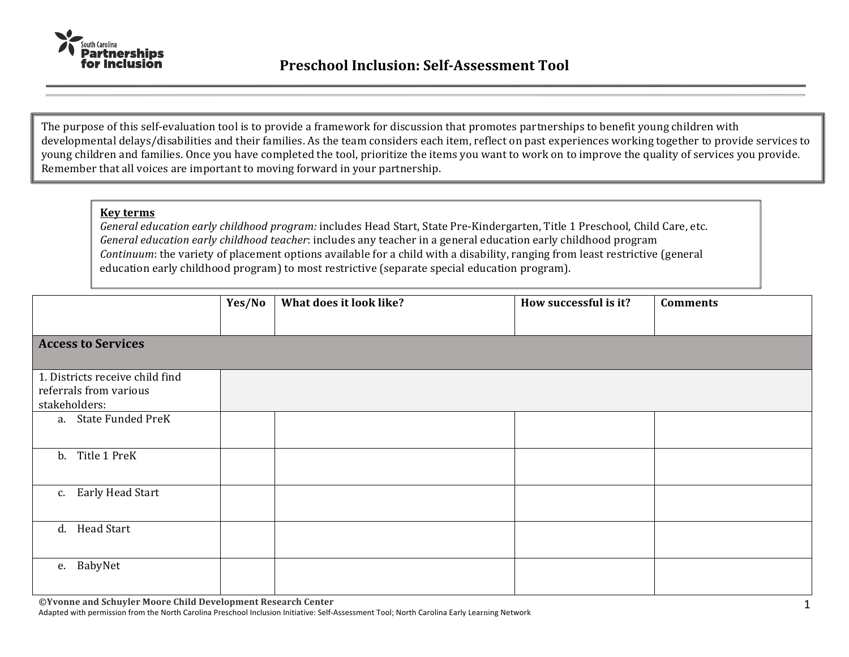

The purpose of this self-evaluation tool is to provide a framework for discussion that promotes partnerships to benefit young children with developmental delays/disabilities and their families. As the team considers each item, reflect on past experiences working together to provide services to young children and families. Once you have completed the tool, prioritize the items you want to work on to improve the quality of services you provide. Remember that all voices are important to moving forward in your partnership.

## **Key terms**

*General education early childhood program:* includes Head Start, State Pre-Kindergarten, Title 1 Preschool, Child Care, etc. *General education early childhood teacher*: includes any teacher in a general education early childhood program *Continuum*: the variety of placement options available for a child with a disability, ranging from least restrictive (general education early childhood program) to most restrictive (separate special education program).

|                                         | Yes/No | What does it look like? | How successful is it? | <b>Comments</b> |
|-----------------------------------------|--------|-------------------------|-----------------------|-----------------|
|                                         |        |                         |                       |                 |
| <b>Access to Services</b>               |        |                         |                       |                 |
| 1. Districts receive child find         |        |                         |                       |                 |
| referrals from various<br>stakeholders: |        |                         |                       |                 |
| a. State Funded PreK                    |        |                         |                       |                 |
| b. Title 1 PreK                         |        |                         |                       |                 |
| c. Early Head Start                     |        |                         |                       |                 |
| d. Head Start                           |        |                         |                       |                 |
| e. BabyNet                              |        |                         |                       |                 |

**©Yvonne and Schuyler Moore Child Development Research Center**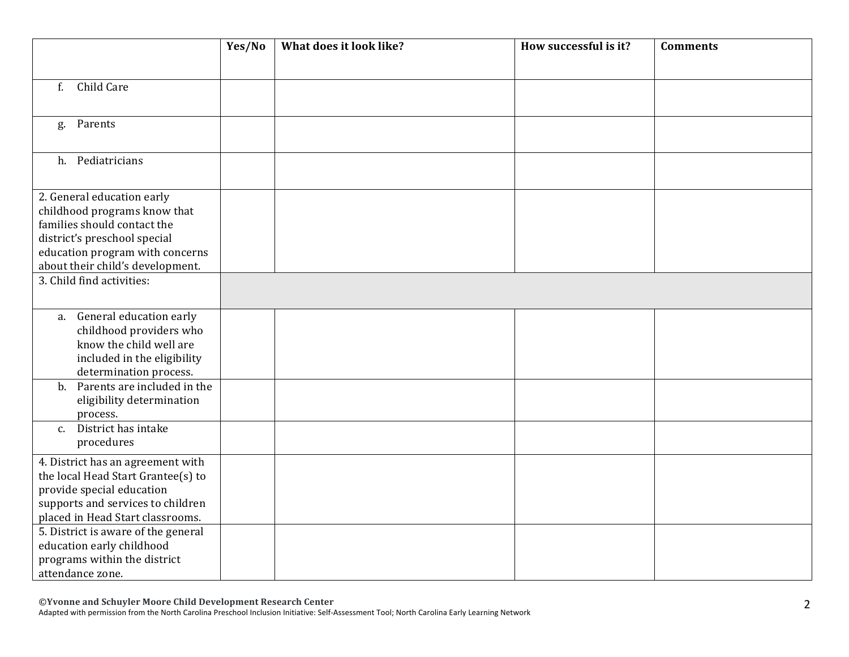|                                                                                                                                                                                                  | Yes/No | What does it look like? | How successful is it? | <b>Comments</b> |
|--------------------------------------------------------------------------------------------------------------------------------------------------------------------------------------------------|--------|-------------------------|-----------------------|-----------------|
|                                                                                                                                                                                                  |        |                         |                       |                 |
| Child Care<br>$f_{\cdot}$                                                                                                                                                                        |        |                         |                       |                 |
| Parents<br>g.                                                                                                                                                                                    |        |                         |                       |                 |
| h. Pediatricians                                                                                                                                                                                 |        |                         |                       |                 |
| 2. General education early<br>childhood programs know that<br>families should contact the<br>district's preschool special<br>education program with concerns<br>about their child's development. |        |                         |                       |                 |
| 3. Child find activities:                                                                                                                                                                        |        |                         |                       |                 |
| General education early<br>a.<br>childhood providers who<br>know the child well are<br>included in the eligibility<br>determination process.                                                     |        |                         |                       |                 |
| Parents are included in the<br>$\mathbf{b}$ .<br>eligibility determination<br>process.                                                                                                           |        |                         |                       |                 |
| c. District has intake<br>procedures                                                                                                                                                             |        |                         |                       |                 |
| 4. District has an agreement with<br>the local Head Start Grantee(s) to<br>provide special education<br>supports and services to children<br>placed in Head Start classrooms.                    |        |                         |                       |                 |
| 5. District is aware of the general<br>education early childhood<br>programs within the district<br>attendance zone.                                                                             |        |                         |                       |                 |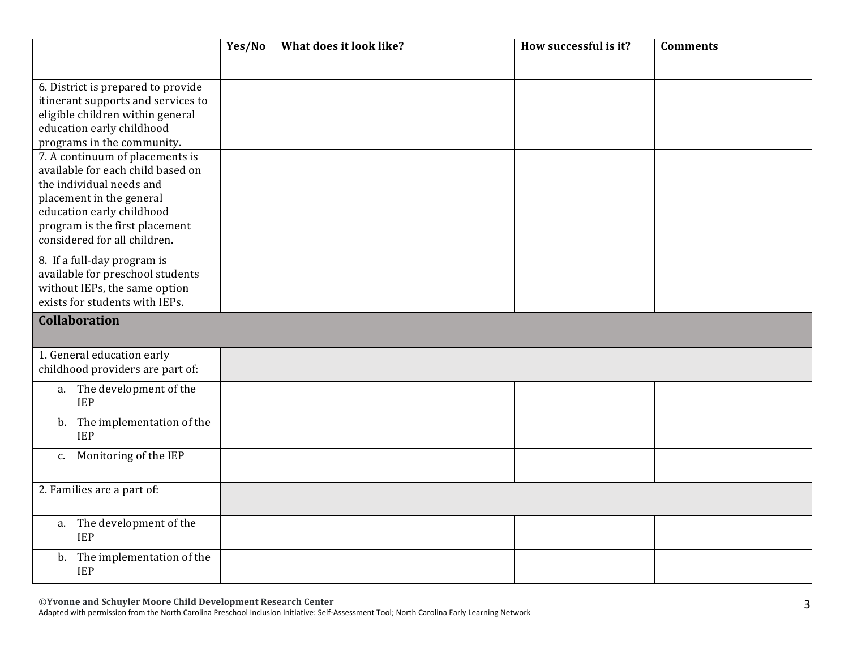|                                    | Yes/No | What does it look like? | How successful is it? | <b>Comments</b> |
|------------------------------------|--------|-------------------------|-----------------------|-----------------|
|                                    |        |                         |                       |                 |
| 6. District is prepared to provide |        |                         |                       |                 |
| itinerant supports and services to |        |                         |                       |                 |
| eligible children within general   |        |                         |                       |                 |
| education early childhood          |        |                         |                       |                 |
| programs in the community.         |        |                         |                       |                 |
| 7. A continuum of placements is    |        |                         |                       |                 |
| available for each child based on  |        |                         |                       |                 |
| the individual needs and           |        |                         |                       |                 |
| placement in the general           |        |                         |                       |                 |
| education early childhood          |        |                         |                       |                 |
| program is the first placement     |        |                         |                       |                 |
| considered for all children.       |        |                         |                       |                 |
| 8. If a full-day program is        |        |                         |                       |                 |
| available for preschool students   |        |                         |                       |                 |
| without IEPs, the same option      |        |                         |                       |                 |
| exists for students with IEPs.     |        |                         |                       |                 |
| <b>Collaboration</b>               |        |                         |                       |                 |
|                                    |        |                         |                       |                 |
| 1. General education early         |        |                         |                       |                 |
| childhood providers are part of:   |        |                         |                       |                 |
| a. The development of the          |        |                         |                       |                 |
| <b>IEP</b>                         |        |                         |                       |                 |
| b. The implementation of the       |        |                         |                       |                 |
| <b>IEP</b>                         |        |                         |                       |                 |
| c. Monitoring of the IEP           |        |                         |                       |                 |
|                                    |        |                         |                       |                 |
| 2. Families are a part of:         |        |                         |                       |                 |
|                                    |        |                         |                       |                 |
| a. The development of the          |        |                         |                       |                 |
| <b>IEP</b>                         |        |                         |                       |                 |
| The implementation of the<br>b.    |        |                         |                       |                 |
| <b>IEP</b>                         |        |                         |                       |                 |

**©Yvonne and Schuyler Moore Child Development Research Center**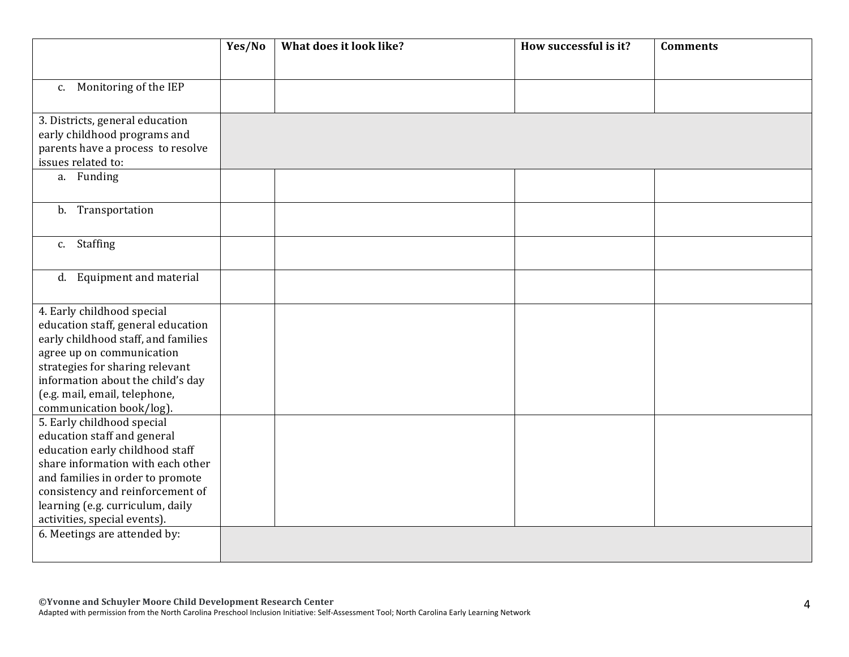|                                                                                                                                                                                                                                                                               | Yes/No | What does it look like? | How successful is it? | <b>Comments</b> |
|-------------------------------------------------------------------------------------------------------------------------------------------------------------------------------------------------------------------------------------------------------------------------------|--------|-------------------------|-----------------------|-----------------|
|                                                                                                                                                                                                                                                                               |        |                         |                       |                 |
| c. Monitoring of the IEP                                                                                                                                                                                                                                                      |        |                         |                       |                 |
| 3. Districts, general education<br>early childhood programs and<br>parents have a process to resolve<br>issues related to:                                                                                                                                                    |        |                         |                       |                 |
| a. Funding                                                                                                                                                                                                                                                                    |        |                         |                       |                 |
| b. Transportation                                                                                                                                                                                                                                                             |        |                         |                       |                 |
| c. Staffing                                                                                                                                                                                                                                                                   |        |                         |                       |                 |
| d. Equipment and material                                                                                                                                                                                                                                                     |        |                         |                       |                 |
| 4. Early childhood special<br>education staff, general education<br>early childhood staff, and families<br>agree up on communication<br>strategies for sharing relevant<br>information about the child's day<br>(e.g. mail, email, telephone,<br>communication book/log).     |        |                         |                       |                 |
| 5. Early childhood special<br>education staff and general<br>education early childhood staff<br>share information with each other<br>and families in order to promote<br>consistency and reinforcement of<br>learning (e.g. curriculum, daily<br>activities, special events). |        |                         |                       |                 |
| 6. Meetings are attended by:                                                                                                                                                                                                                                                  |        |                         |                       |                 |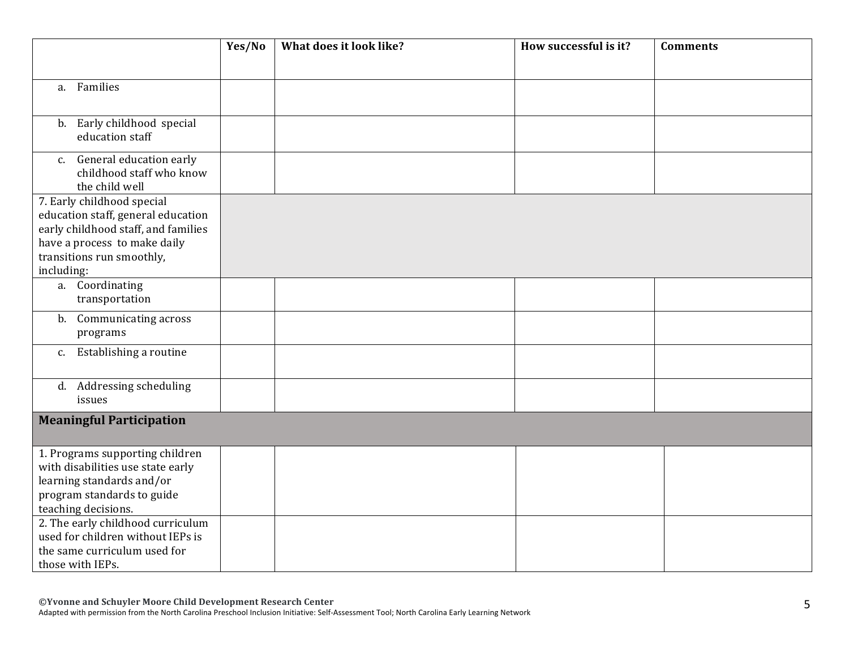|                                                                                                                                                                                    | Yes/No | What does it look like? | How successful is it? | <b>Comments</b> |
|------------------------------------------------------------------------------------------------------------------------------------------------------------------------------------|--------|-------------------------|-----------------------|-----------------|
| a. Families                                                                                                                                                                        |        |                         |                       |                 |
| b. Early childhood special<br>education staff                                                                                                                                      |        |                         |                       |                 |
| General education early<br>C.<br>childhood staff who know<br>the child well                                                                                                        |        |                         |                       |                 |
| 7. Early childhood special<br>education staff, general education<br>early childhood staff, and families<br>have a process to make daily<br>transitions run smoothly,<br>including: |        |                         |                       |                 |
| a. Coordinating<br>transportation                                                                                                                                                  |        |                         |                       |                 |
| Communicating across<br>b.<br>programs                                                                                                                                             |        |                         |                       |                 |
| Establishing a routine<br>$c_{\cdot}$                                                                                                                                              |        |                         |                       |                 |
| d. Addressing scheduling<br>issues                                                                                                                                                 |        |                         |                       |                 |
| <b>Meaningful Participation</b>                                                                                                                                                    |        |                         |                       |                 |
| 1. Programs supporting children<br>with disabilities use state early<br>learning standards and/or<br>program standards to guide<br>teaching decisions.                             |        |                         |                       |                 |
| 2. The early childhood curriculum<br>used for children without IEPs is<br>the same curriculum used for<br>those with IEPs.                                                         |        |                         |                       |                 |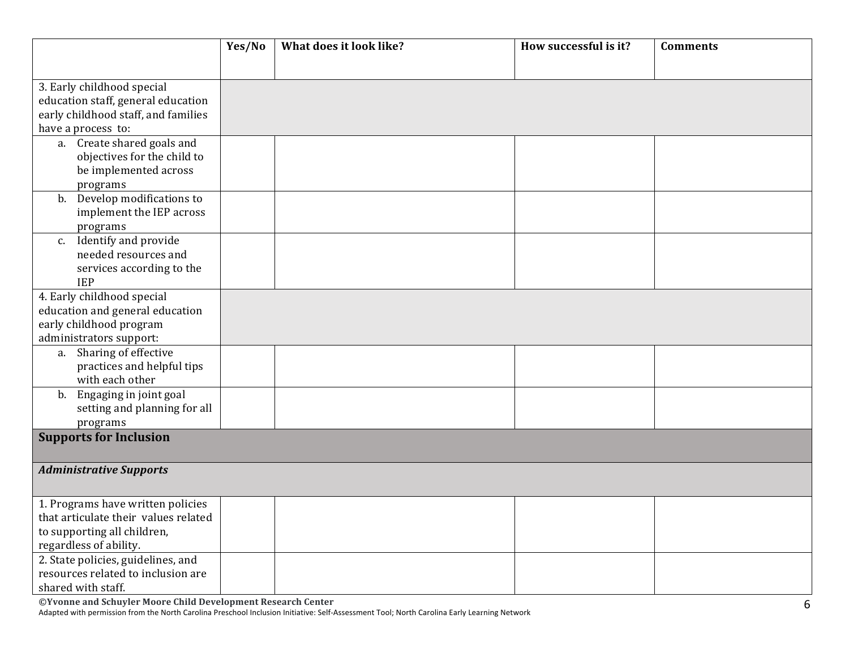|                                         | Yes/No | What does it look like? | How successful is it? | <b>Comments</b> |
|-----------------------------------------|--------|-------------------------|-----------------------|-----------------|
|                                         |        |                         |                       |                 |
| 3. Early childhood special              |        |                         |                       |                 |
| education staff, general education      |        |                         |                       |                 |
| early childhood staff, and families     |        |                         |                       |                 |
| have a process to:                      |        |                         |                       |                 |
| a. Create shared goals and              |        |                         |                       |                 |
| objectives for the child to             |        |                         |                       |                 |
| be implemented across                   |        |                         |                       |                 |
| programs                                |        |                         |                       |                 |
| b. Develop modifications to             |        |                         |                       |                 |
| implement the IEP across                |        |                         |                       |                 |
| programs                                |        |                         |                       |                 |
| c. Identify and provide                 |        |                         |                       |                 |
| needed resources and                    |        |                         |                       |                 |
| services according to the<br><b>IEP</b> |        |                         |                       |                 |
| 4. Early childhood special              |        |                         |                       |                 |
| education and general education         |        |                         |                       |                 |
| early childhood program                 |        |                         |                       |                 |
| administrators support:                 |        |                         |                       |                 |
| a. Sharing of effective                 |        |                         |                       |                 |
| practices and helpful tips              |        |                         |                       |                 |
| with each other                         |        |                         |                       |                 |
| b. Engaging in joint goal               |        |                         |                       |                 |
| setting and planning for all            |        |                         |                       |                 |
| programs                                |        |                         |                       |                 |
| <b>Supports for Inclusion</b>           |        |                         |                       |                 |
|                                         |        |                         |                       |                 |
| <b>Administrative Supports</b>          |        |                         |                       |                 |
|                                         |        |                         |                       |                 |
| 1. Programs have written policies       |        |                         |                       |                 |
| that articulate their values related    |        |                         |                       |                 |
| to supporting all children,             |        |                         |                       |                 |
| regardless of ability.                  |        |                         |                       |                 |
| 2. State policies, guidelines, and      |        |                         |                       |                 |
| resources related to inclusion are      |        |                         |                       |                 |
| shared with staff.                      |        |                         |                       |                 |

**©Yvonne and Schuyler Moore Child Development Research Center**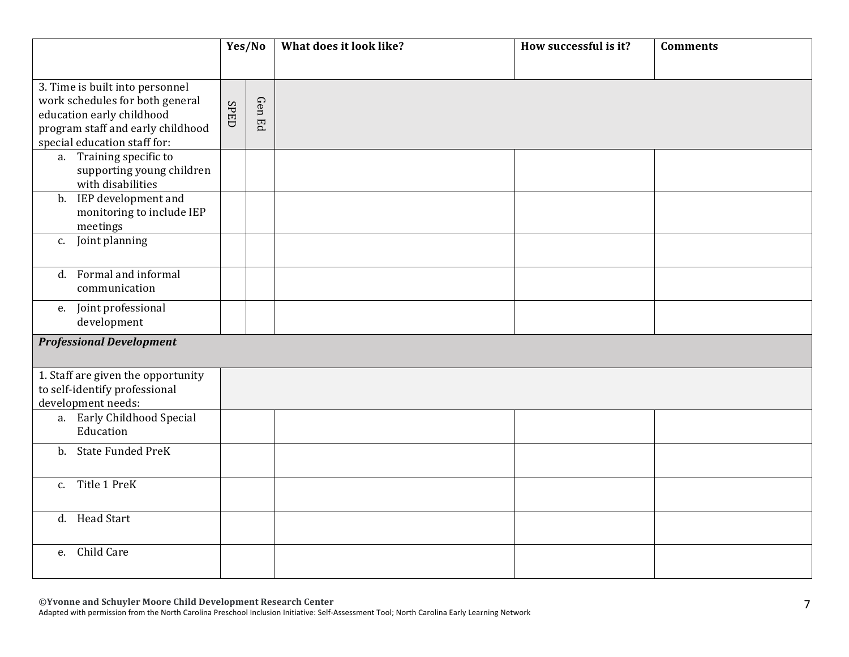|                                                                                                                                                                      | Yes/No |        | What does it look like? | How successful is it? | <b>Comments</b> |
|----------------------------------------------------------------------------------------------------------------------------------------------------------------------|--------|--------|-------------------------|-----------------------|-----------------|
|                                                                                                                                                                      |        |        |                         |                       |                 |
| 3. Time is built into personnel<br>work schedules for both general<br>education early childhood<br>program staff and early childhood<br>special education staff for: | SPED   | Gen Ed |                         |                       |                 |
| a. Training specific to<br>supporting young children<br>with disabilities                                                                                            |        |        |                         |                       |                 |
| b. IEP development and<br>monitoring to include IEP<br>meetings                                                                                                      |        |        |                         |                       |                 |
| Joint planning<br>c.                                                                                                                                                 |        |        |                         |                       |                 |
| d. Formal and informal<br>communication                                                                                                                              |        |        |                         |                       |                 |
| Joint professional<br>e.<br>development                                                                                                                              |        |        |                         |                       |                 |
| <b>Professional Development</b>                                                                                                                                      |        |        |                         |                       |                 |
| 1. Staff are given the opportunity<br>to self-identify professional<br>development needs:                                                                            |        |        |                         |                       |                 |
| a. Early Childhood Special<br>Education                                                                                                                              |        |        |                         |                       |                 |
| b. State Funded PreK                                                                                                                                                 |        |        |                         |                       |                 |
| Title 1 PreK<br>$C_{1}$                                                                                                                                              |        |        |                         |                       |                 |
| d. Head Start                                                                                                                                                        |        |        |                         |                       |                 |
| Child Care<br>e.                                                                                                                                                     |        |        |                         |                       |                 |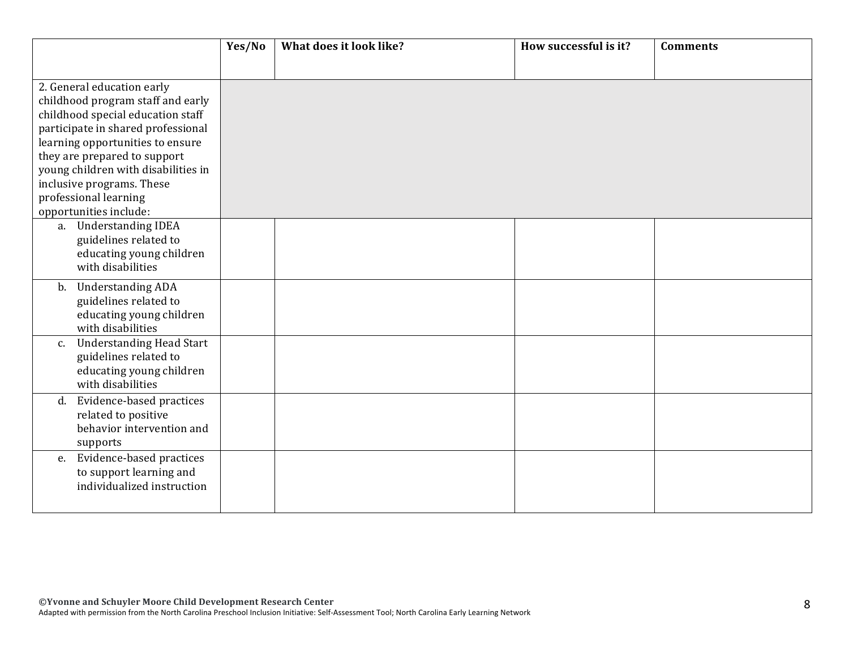|                                                                        | Yes/No | What does it look like? | How successful is it? | <b>Comments</b> |  |  |
|------------------------------------------------------------------------|--------|-------------------------|-----------------------|-----------------|--|--|
|                                                                        |        |                         |                       |                 |  |  |
| 2. General education early                                             |        |                         |                       |                 |  |  |
| childhood program staff and early                                      |        |                         |                       |                 |  |  |
| childhood special education staff                                      |        |                         |                       |                 |  |  |
| participate in shared professional<br>learning opportunities to ensure |        |                         |                       |                 |  |  |
| they are prepared to support                                           |        |                         |                       |                 |  |  |
| young children with disabilities in                                    |        |                         |                       |                 |  |  |
| inclusive programs. These                                              |        |                         |                       |                 |  |  |
| professional learning                                                  |        |                         |                       |                 |  |  |
| opportunities include:                                                 |        |                         |                       |                 |  |  |
| a. Understanding IDEA                                                  |        |                         |                       |                 |  |  |
| guidelines related to<br>educating young children                      |        |                         |                       |                 |  |  |
| with disabilities                                                      |        |                         |                       |                 |  |  |
|                                                                        |        |                         |                       |                 |  |  |
| <b>Understanding ADA</b><br>b.<br>guidelines related to                |        |                         |                       |                 |  |  |
| educating young children                                               |        |                         |                       |                 |  |  |
| with disabilities                                                      |        |                         |                       |                 |  |  |
| <b>Understanding Head Start</b><br>$C_{\bullet}$                       |        |                         |                       |                 |  |  |
| guidelines related to                                                  |        |                         |                       |                 |  |  |
| educating young children                                               |        |                         |                       |                 |  |  |
| with disabilities                                                      |        |                         |                       |                 |  |  |
| Evidence-based practices<br>d.                                         |        |                         |                       |                 |  |  |
| related to positive<br>behavior intervention and                       |        |                         |                       |                 |  |  |
| supports                                                               |        |                         |                       |                 |  |  |
| Evidence-based practices<br>e.                                         |        |                         |                       |                 |  |  |
| to support learning and                                                |        |                         |                       |                 |  |  |
| individualized instruction                                             |        |                         |                       |                 |  |  |
|                                                                        |        |                         |                       |                 |  |  |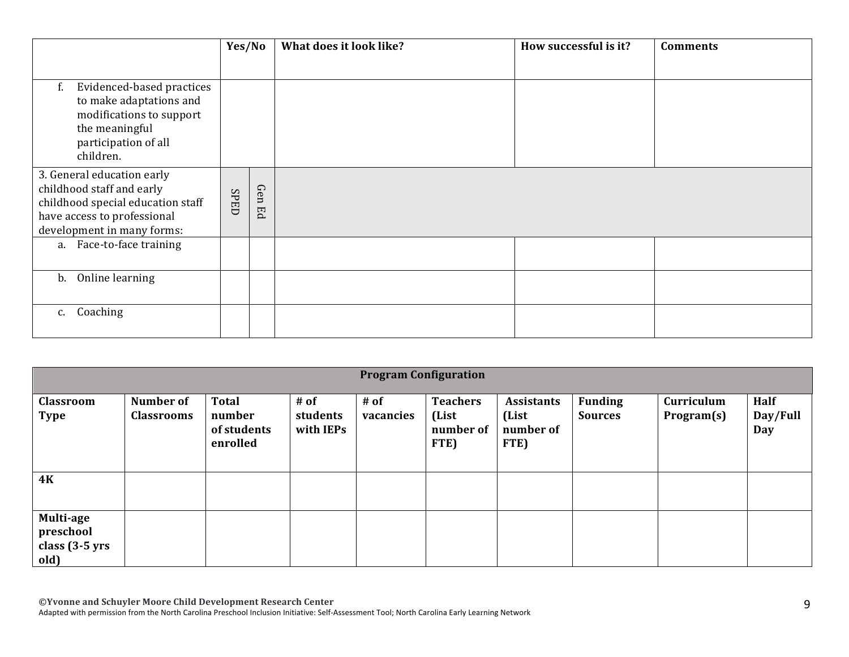|                                                                                                                                                           | Yes/No      |           | What does it look like? | How successful is it? | <b>Comments</b> |
|-----------------------------------------------------------------------------------------------------------------------------------------------------------|-------------|-----------|-------------------------|-----------------------|-----------------|
| Evidenced-based practices<br>f.<br>to make adaptations and<br>modifications to support<br>the meaningful<br>participation of all<br>children.             |             |           |                         |                       |                 |
| 3. General education early<br>childhood staff and early<br>childhood special education staff<br>have access to professional<br>development in many forms: | <b>SPED</b> | Gen<br>Eq |                         |                       |                 |
| a. Face-to-face training                                                                                                                                  |             |           |                         |                       |                 |
| Online learning<br>b.                                                                                                                                     |             |           |                         |                       |                 |
| Coaching<br>c.                                                                                                                                            |             |           |                         |                       |                 |

|                                                  | <b>Program Configuration</b>          |                                                   |                               |                   |                                               |                                                 |                                  |                          |                         |  |
|--------------------------------------------------|---------------------------------------|---------------------------------------------------|-------------------------------|-------------------|-----------------------------------------------|-------------------------------------------------|----------------------------------|--------------------------|-------------------------|--|
| Classroom<br><b>Type</b>                         | <b>Number of</b><br><b>Classrooms</b> | <b>Total</b><br>number<br>of students<br>enrolled | # of<br>students<br>with IEPs | # of<br>vacancies | <b>Teachers</b><br>(List<br>number of<br>FTE) | <b>Assistants</b><br>(List<br>number of<br>FTE) | <b>Funding</b><br><b>Sources</b> | Curriculum<br>Program(s) | Half<br>Day/Full<br>Day |  |
| <b>4K</b>                                        |                                       |                                                   |                               |                   |                                               |                                                 |                                  |                          |                         |  |
| Multi-age<br>preschool<br>class (3-5 yrs<br>old) |                                       |                                                   |                               |                   |                                               |                                                 |                                  |                          |                         |  |